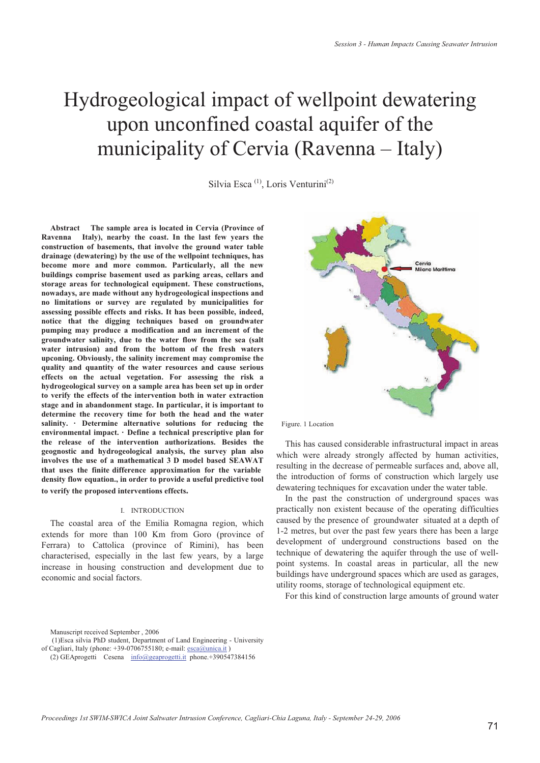# Hydrogeological impact of wellpoint dewatering upon unconfined coastal aquifer of the municipality of Cervia (Ravenna – Italy)

Silvia Esca<sup>(1)</sup>, Loris Venturini<sup>(2)</sup>

**Abstract The sample area is located in Cervia (Province of Ravenna Italy), nearby the coast. In the last few years the construction of basements, that involve the ground water table drainage (dewatering) by the use of the wellpoint techniques, has become more and more common. Particularly, all the new buildings comprise basement used as parking areas, cellars and storage areas for technological equipment. These constructions, nowadays, are made without any hydrogeological inspections and no limitations or survey are regulated by municipalities for assessing possible effects and risks. It has been possible, indeed, notice that the digging techniques based on groundwater pumping may produce a modification and an increment of the groundwater salinity, due to the water flow from the sea (salt water intrusion) and from the bottom of the fresh waters upconing. Obviously, the salinity increment may compromise the quality and quantity of the water resources and cause serious effects on the actual vegetation. For assessing the risk a hydrogeological survey on a sample area has been set up in order to verify the effects of the intervention both in water extraction stage and in abandonment stage. In particular, it is important to determine the recovery time for both the head and the water salinity. · Determine alternative solutions for reducing the environmental impact. · Define a technical prescriptive plan for the release of the intervention authorizations. Besides the geognostic and hydrogeological analysis, the survey plan also involves the use of a mathematical 3 D model based SEAWAT that uses the finite difference approximation for the variable density flow equation., in order to provide a useful predictive tool to verify the proposed interventions effects.**

#### I. INTRODUCTION

The coastal area of the Emilia Romagna region, which extends for more than 100 Km from Goro (province of Ferrara) to Cattolica (province of Rimini), has been characterised, especially in the last few years, by a large increase in housing construction and development due to economic and social factors.



Figure. 1 Location

This has caused considerable infrastructural impact in areas which were already strongly affected by human activities, resulting in the decrease of permeable surfaces and, above all, the introduction of forms of construction which largely use dewatering techniques for excavation under the water table.

In the past the construction of underground spaces was practically non existent because of the operating difficulties caused by the presence of groundwater situated at a depth of 1-2 metres, but over the past few years there has been a large development of underground constructions based on the technique of dewatering the aquifer through the use of wellpoint systems. In coastal areas in particular, all the new buildings have underground spaces which are used as garages, utility rooms, storage of technological equipment etc.

For this kind of construction large amounts of ground water

Manuscript received September , 2006

(1)Esca silvia PhD student, Department of Land Engineering - University

of Cagliari, Italy (phone: +39-0706755180; e-mail: esca@unica.it)

<sup>(2)</sup> GEAprogetti Cesena info@geaprogetti.it phone.+390547384156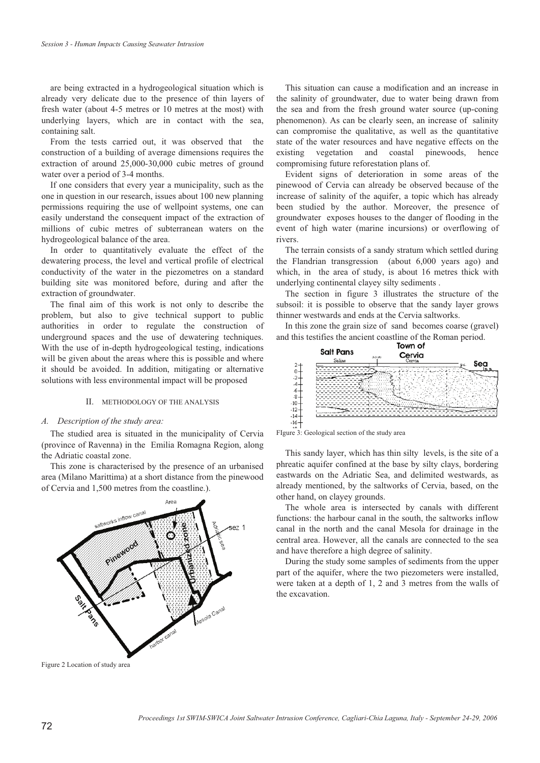are being extracted in a hydrogeological situation which is already very delicate due to the presence of thin layers of fresh water (about 4-5 metres or 10 metres at the most) with underlying layers, which are in contact with the sea, containing salt.

From the tests carried out, it was observed that the construction of a building of average dimensions requires the extraction of around 25,000-30,000 cubic metres of ground water over a period of 3-4 months.

If one considers that every year a municipality, such as the one in question in our research, issues about 100 new planning permissions requiring the use of wellpoint systems, one can easily understand the consequent impact of the extraction of millions of cubic metres of subterranean waters on the hydrogeological balance of the area.

In order to quantitatively evaluate the effect of the dewatering process, the level and vertical profile of electrical conductivity of the water in the piezometres on a standard building site was monitored before, during and after the extraction of groundwater.

The final aim of this work is not only to describe the problem, but also to give technical support to public authorities in order to regulate the construction of underground spaces and the use of dewatering techniques. With the use of in-depth hydrogeological testing, indications will be given about the areas where this is possible and where it should be avoided. In addition, mitigating or alternative solutions with less environmental impact will be proposed

# II. METHODOLOGY OF THE ANALYSIS

#### *A. Description of the study area:*

The studied area is situated in the municipality of Cervia (province of Ravenna) in the Emilia Romagna Region, along the Adriatic coastal zone.

This zone is characterised by the presence of an urbanised area (Milano Marittima) at a short distance from the pinewood of Cervia and 1,500 metres from the coastline.).



Figure 2 Location of study area

This situation can cause a modification and an increase in the salinity of groundwater, due to water being drawn from the sea and from the fresh ground water source (up-coning phenomenon). As can be clearly seen, an increase of salinity can compromise the qualitative, as well as the quantitative state of the water resources and have negative effects on the existing vegetation and coastal pinewoods, hence compromising future reforestation plans of.

Evident signs of deterioration in some areas of the pinewood of Cervia can already be observed because of the increase of salinity of the aquifer, a topic which has already been studied by the author. Moreover, the presence of groundwater exposes houses to the danger of flooding in the event of high water (marine incursions) or overflowing of rivers.

The terrain consists of a sandy stratum which settled during the Flandrian transgression (about 6,000 years ago) and which, in the area of study, is about 16 metres thick with underlying continental clayey silty sediments .

The section in figure 3 illustrates the structure of the subsoil: it is possible to observe that the sandy layer grows thinner westwards and ends at the Cervia saltworks.

In this zone the grain size of sand becomes coarse (gravel) and this testifies the ancient coastline of the Roman period.<br> **Town of** 





This sandy layer, which has thin silty levels, is the site of a phreatic aquifer confined at the base by silty clays, bordering eastwards on the Adriatic Sea, and delimited westwards, as already mentioned, by the saltworks of Cervia, based, on the other hand, on clayey grounds.

The whole area is intersected by canals with different functions: the harbour canal in the south, the saltworks inflow canal in the north and the canal Mesola for drainage in the central area. However, all the canals are connected to the sea and have therefore a high degree of salinity.

During the study some samples of sediments from the upper part of the aquifer, where the two piezometers were installed, were taken at a depth of 1, 2 and 3 metres from the walls of the excavation.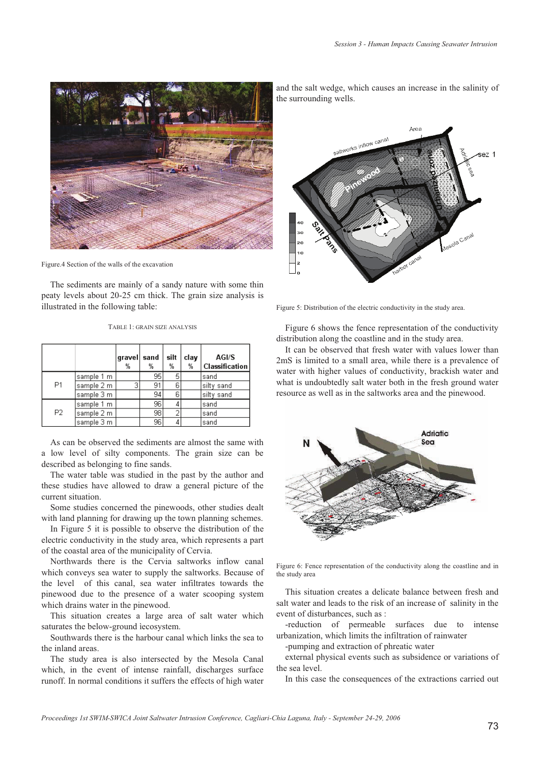

Figure.4 Section of the walls of the excavation

The sediments are mainly of a sandy nature with some thin peaty levels about 20-25 cm thick. The grain size analysis is illustrated in the following table:

|  |  | TABLE 1: GRAIN SIZE ANALYSIS |
|--|--|------------------------------|
|  |  |                              |

|                |            | gravel sand<br>% | %  | silt<br>% | clay<br>% | AGI/S<br>Classification |
|----------------|------------|------------------|----|-----------|-----------|-------------------------|
| P1             | sample 1 m |                  | 95 | 5         |           | İsand                   |
|                | sample 2 m | 3                | 91 | 6         |           | silty sand              |
|                | sample 3 m |                  | 94 | 6         |           | silty sand              |
| P <sub>2</sub> | sample 1 m |                  | 96 | 4         |           | sand                    |
|                | sample 2 m |                  | 98 | 2         |           | sand                    |
|                | sample 3 m |                  | 96 | 4         |           | sand                    |

As can be observed the sediments are almost the same with a low level of silty components. The grain size can be described as belonging to fine sands.

The water table was studied in the past by the author and these studies have allowed to draw a general picture of the current situation.

Some studies concerned the pinewoods, other studies dealt with land planning for drawing up the town planning schemes.

In Figure 5 it is possible to observe the distribution of the electric conductivity in the study area, which represents a part of the coastal area of the municipality of Cervia.

Northwards there is the Cervia saltworks inflow canal which conveys sea water to supply the saltworks. Because of the level of this canal, sea water infiltrates towards the pinewood due to the presence of a water scooping system which drains water in the pinewood.

This situation creates a large area of salt water which saturates the below-ground ìecosystem.

Southwards there is the harbour canal which links the sea to the inland areas.

The study area is also intersected by the Mesola Canal which, in the event of intense rainfall, discharges surface runoff. In normal conditions it suffers the effects of high water and the salt wedge, which causes an increase in the salinity of the surrounding wells.



Figure 5: Distribution of the electric conductivity in the study area.

Figure 6 shows the fence representation of the conductivity distribution along the coastline and in the study area.

It can be observed that fresh water with values lower than 2mS is limited to a small area, while there is a prevalence of water with higher values of conductivity, brackish water and what is undoubtedly salt water both in the fresh ground water resource as well as in the saltworks area and the pinewood.



Figure 6: Fence representation of the conductivity along the coastline and in the study area

This situation creates a delicate balance between fresh and salt water and leads to the risk of an increase of salinity in the event of disturbances, such as :

-reduction of permeable surfaces due to intense urbanization, which limits the infiltration of rainwater

-pumping and extraction of phreatic water

external physical events such as subsidence or variations of the sea level.

In this case the consequences of the extractions carried out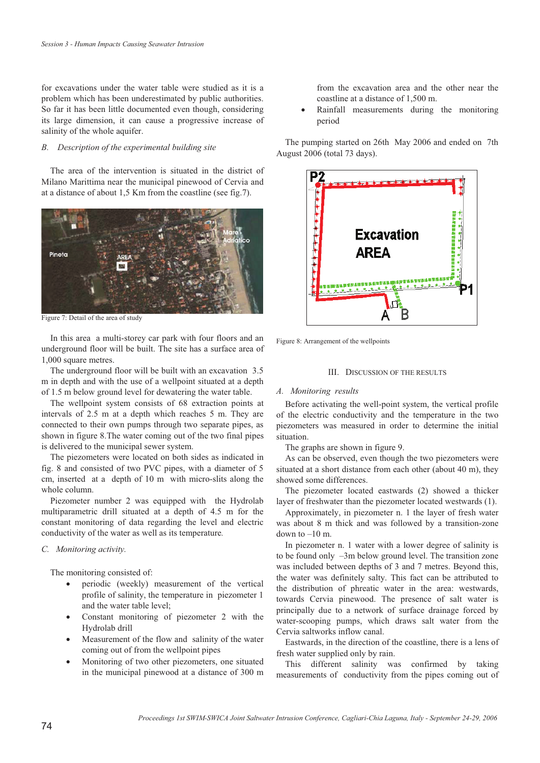for excavations under the water table were studied as it is a problem which has been underestimated by public authorities. So far it has been little documented even though, considering its large dimension, it can cause a progressive increase of salinity of the whole aquifer.

#### *B. Description of the experimental building site*

The area of the intervention is situated in the district of Milano Marittima near the municipal pinewood of Cervia and at a distance of about 1,5 Km from the coastline (see fig.7).



Figure 7: Detail of the area of study

In this area a multi-storey car park with four floors and an underground floor will be built. The site has a surface area of 1,000 square metres.

The underground floor will be built with an excavation 3.5 m in depth and with the use of a wellpoint situated at a depth of 1.5 m below ground level for dewatering the water table.

The wellpoint system consists of 68 extraction points at intervals of 2.5 m at a depth which reaches 5 m. They are connected to their own pumps through two separate pipes, as shown in figure 8.The water coming out of the two final pipes is delivered to the municipal sewer system.

The piezometers were located on both sides as indicated in fig. 8 and consisted of two PVC pipes, with a diameter of 5 cm, inserted at a depth of 10 m with micro-slits along the whole column.

Piezometer number 2 was equipped with the Hydrolab multiparametric drill situated at a depth of 4.5 m for the constant monitoring of data regarding the level and electric conductivity of the water as well as its temperature*.*

### *C. Monitoring activity.*

The monitoring consisted of:

- periodic (weekly) measurement of the vertical profile of salinity, the temperature in piezometer 1 and the water table level;
- Constant monitoring of piezometer 2 with the Hydrolab drill
- Measurement of the flow and salinity of the water coming out of from the wellpoint pipes
- Monitoring of two other piezometers, one situated in the municipal pinewood at a distance of 300 m

from the excavation area and the other near the coastline at a distance of 1,500 m.

 Rainfall measurements during the monitoring period

The pumping started on 26th May 2006 and ended on 7th August 2006 (total 73 days).



Figure 8: Arrangement of the wellpoints

## III. DISCUSSION OF THE RESULTS

#### *A. Monitoring results*

Before activating the well-point system, the vertical profile of the electric conductivity and the temperature in the two piezometers was measured in order to determine the initial situation.

The graphs are shown in figure 9.

As can be observed, even though the two piezometers were situated at a short distance from each other (about 40 m), they showed some differences.

The piezometer located eastwards (2) showed a thicker layer of freshwater than the piezometer located westwards (1).

Approximately, in piezometer n. 1 the layer of fresh water was about 8 m thick and was followed by a transition-zone down to  $-10$  m.

In piezometer n. 1 water with a lower degree of salinity is to be found only –3m below ground level. The transition zone was included between depths of 3 and 7 metres. Beyond this, the water was definitely salty. This fact can be attributed to the distribution of phreatic water in the area: westwards, towards Cervia pinewood. The presence of salt water is principally due to a network of surface drainage forced by water-scooping pumps, which draws salt water from the Cervia saltworks inflow canal.

Eastwards, in the direction of the coastline, there is a lens of fresh water supplied only by rain.

This different salinity was confirmed by taking measurements of conductivity from the pipes coming out of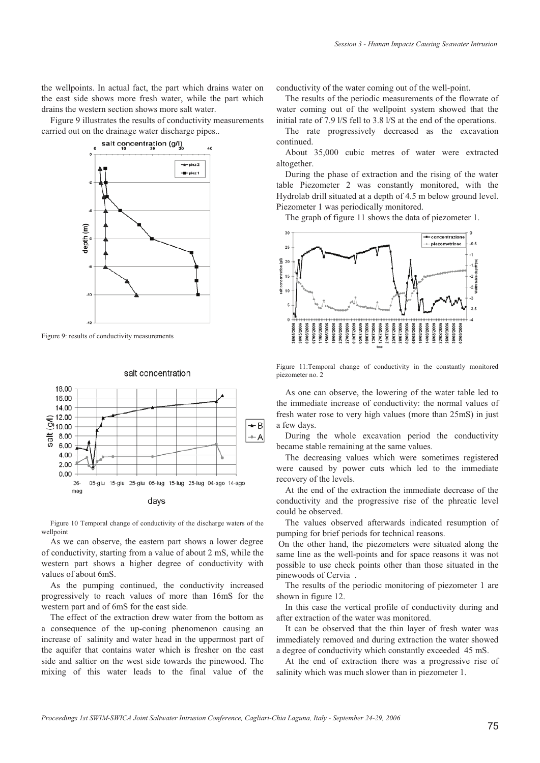the wellpoints. In actual fact, the part which drains water on the east side shows more fresh water, while the part which drains the western section shows more salt water.

Figure 9 illustrates the results of conductivity measurements carried out on the drainage water discharge pipes..



Figure 9: results of conductivity measurements



salt concentration

Figure 10 Temporal change of conductivity of the discharge waters of the wellpoint

As we can observe, the eastern part shows a lower degree of conductivity, starting from a value of about 2 mS, while the western part shows a higher degree of conductivity with values of about 6mS.

As the pumping continued, the conductivity increased progressively to reach values of more than 16mS for the western part and of 6mS for the east side.

The effect of the extraction drew water from the bottom as a consequence of the up-coning phenomenon causing an increase of salinity and water head in the uppermost part of the aquifer that contains water which is fresher on the east side and saltier on the west side towards the pinewood. The mixing of this water leads to the final value of the

conductivity of the water coming out of the well-point.

The results of the periodic measurements of the flowrate of water coming out of the wellpoint system showed that the initial rate of 7.9 l/S fell to 3.8 l/S at the end of the operations.

The rate progressively decreased as the excavation continued.

About 35,000 cubic metres of water were extracted altogether.

During the phase of extraction and the rising of the water table Piezometer 2 was constantly monitored, with the Hydrolab drill situated at a depth of 4.5 m below ground level. Piezometer 1 was periodically monitored.

The graph of figure 11 shows the data of piezometer 1.



Figure 11:Temporal change of conductivity in the constantly monitored piezometer no. 2

As one can observe, the lowering of the water table led to the immediate increase of conductivity: the normal values of fresh water rose to very high values (more than 25mS) in just a few days.

During the whole excavation period the conductivity became stable remaining at the same values.

The decreasing values which were sometimes registered were caused by power cuts which led to the immediate recovery of the levels.

At the end of the extraction the immediate decrease of the conductivity and the progressive rise of the phreatic level could be observed.

The values observed afterwards indicated resumption of pumping for brief periods for technical reasons.

 On the other hand, the piezometers were situated along the same line as the well-points and for space reasons it was not possible to use check points other than those situated in the pinewoods of Cervia .

The results of the periodic monitoring of piezometer 1 are shown in figure 12.

In this case the vertical profile of conductivity during and after extraction of the water was monitored.

It can be observed that the thin layer of fresh water was immediately removed and during extraction the water showed a degree of conductivity which constantly exceeded 45 mS.

At the end of extraction there was a progressive rise of salinity which was much slower than in piezometer 1.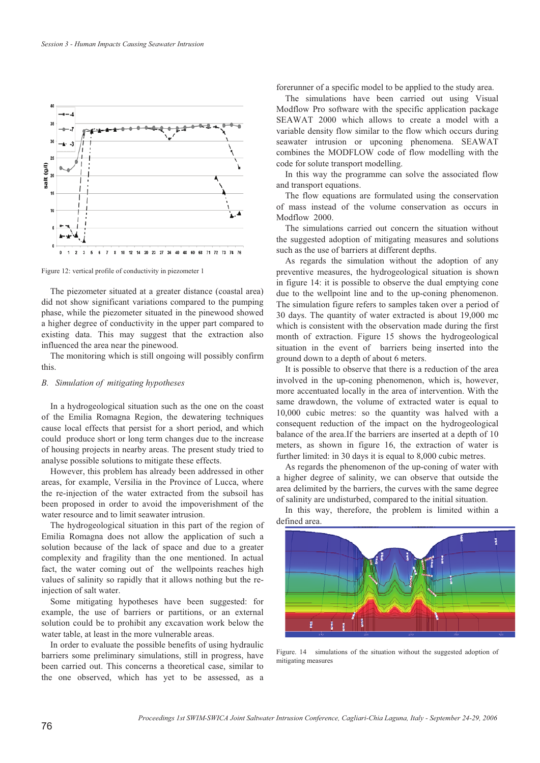

Figure 12: vertical profile of conductivity in piezometer 1

The piezometer situated at a greater distance (coastal area) did not show significant variations compared to the pumping phase, while the piezometer situated in the pinewood showed a higher degree of conductivity in the upper part compared to existing data. This may suggest that the extraction also influenced the area near the pinewood.

The monitoring which is still ongoing will possibly confirm this.

#### *B. Simulation of mitigating hypotheses*

In a hydrogeological situation such as the one on the coast of the Emilia Romagna Region, the dewatering techniques cause local effects that persist for a short period, and which could produce short or long term changes due to the increase of housing projects in nearby areas. The present study tried to analyse possible solutions to mitigate these effects.

However, this problem has already been addressed in other areas, for example, Versilia in the Province of Lucca, where the re-injection of the water extracted from the subsoil has been proposed in order to avoid the impoverishment of the water resource and to limit seawater intrusion.

The hydrogeological situation in this part of the region of Emilia Romagna does not allow the application of such a solution because of the lack of space and due to a greater complexity and fragility than the one mentioned. In actual fact, the water coming out of the wellpoints reaches high values of salinity so rapidly that it allows nothing but the reinjection of salt water.

Some mitigating hypotheses have been suggested: for example, the use of barriers or partitions, or an external solution could be to prohibit any excavation work below the water table, at least in the more vulnerable areas.

In order to evaluate the possible benefits of using hydraulic barriers some preliminary simulations, still in progress, have been carried out. This concerns a theoretical case, similar to the one observed, which has yet to be assessed, as a

forerunner of a specific model to be applied to the study area.

The simulations have been carried out using Visual Modflow Pro software with the specific application package SEAWAT 2000 which allows to create a model with a variable density flow similar to the flow which occurs during seawater intrusion or upconing phenomena. SEAWAT combines the MODFLOW code of flow modelling with the code for solute transport modelling.

In this way the programme can solve the associated flow and transport equations.

The flow equations are formulated using the conservation of mass instead of the volume conservation as occurs in Modflow 2000.

The simulations carried out concern the situation without the suggested adoption of mitigating measures and solutions such as the use of barriers at different depths.

As regards the simulation without the adoption of any preventive measures, the hydrogeological situation is shown in figure 14: it is possible to observe the dual emptying cone due to the wellpoint line and to the up-coning phenomenon. The simulation figure refers to samples taken over a period of 30 days. The quantity of water extracted is about 19,000 mc which is consistent with the observation made during the first month of extraction. Figure 15 shows the hydrogeological situation in the event of barriers being inserted into the ground down to a depth of about 6 meters.

It is possible to observe that there is a reduction of the area involved in the up-coning phenomenon, which is, however, more accentuated locally in the area of intervention. With the same drawdown, the volume of extracted water is equal to 10,000 cubic metres: so the quantity was halved with a consequent reduction of the impact on the hydrogeological balance of the area.If the barriers are inserted at a depth of 10 meters, as shown in figure 16, the extraction of water is further limited: in 30 days it is equal to 8,000 cubic metres.

As regards the phenomenon of the up-coning of water with a higher degree of salinity, we can observe that outside the area delimited by the barriers, the curves with the same degree of salinity are undisturbed, compared to the initial situation.

In this way, therefore, the problem is limited within a defined area.



Figure. 14 simulations of the situation without the suggested adoption of mitigating measures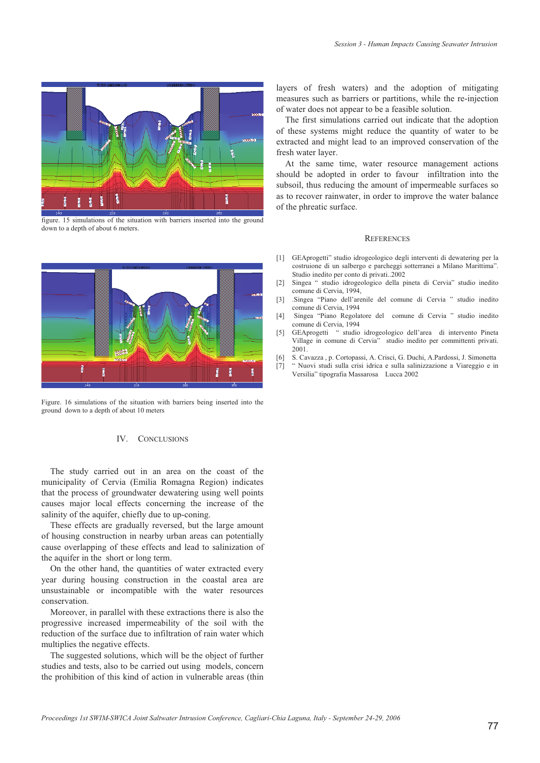

figure. 15 simulations of the situation with barriers inserted into the ground down to a depth of about 6 meters.



Figure. 16 simulations of the situation with barriers being inserted into the ground down to a depth of about 10 meters

# IV. CONCLUSIONS

The study carried out in an area on the coast of the municipality of Cervia (Emilia Romagna Region) indicates that the process of groundwater dewatering using well points causes major local effects concerning the increase of the salinity of the aquifer, chiefly due to up-coning.

These effects are gradually reversed, but the large amount of housing construction in nearby urban areas can potentially cause overlapping of these effects and lead to salinization of the aquifer in the short or long term.

On the other hand, the quantities of water extracted every year during housing construction in the coastal area are unsustainable or incompatible with the water resources conservation.

Moreover, in parallel with these extractions there is also the progressive increased impermeability of the soil with the reduction of the surface due to infiltration of rain water which multiplies the negative effects.

The suggested solutions, which will be the object of further studies and tests, also to be carried out using models, concern the prohibition of this kind of action in vulnerable areas (thin

layers of fresh waters) and the adoption of mitigating measures such as barriers or partitions, while the re-injection of water does not appear to be a feasible solution.

The first simulations carried out indicate that the adoption of these systems might reduce the quantity of water to be extracted and might lead to an improved conservation of the fresh water layer.

At the same time, water resource management actions should be adopted in order to favour infiltration into the subsoil, thus reducing the amount of impermeable surfaces so as to recover rainwater, in order to improve the water balance of the phreatic surface.

#### **REFERENCES**

- [1] GEAprogetti" studio idrogeologico degli interventi di dewatering per la costruione di un salbergo e parcheggi sotterranei a Milano Marittima". Studio inedito per conto di privati..2002
- [2] Singea " studio idrogeologico della pineta di Cervia" studio inedito comune di Cervia, 1994,
- [3] .Singea "Piano dell'arenile del comune di Cervia " studio inedito comune di Cervia, 1994
- [4] Singea "Piano Regolatore del comune di Cervia " studio inedito comune di Cervia, 1994
- [5] GEAprogetti " studio idrogeologico dell'area di intervento Pineta Village in comune di Cervia" studio inedito per committenti privati. 2001.
- [6] S. Cavazza , p. Cortopassi, A. Crisci, G. Duchi, A.Pardossi, J. Simonetta
- [7] " Nuovi studi sulla crisi idrica e sulla salinizzazione a Viareggio e in Versilia" tipografia Massarosa Lucca 2002